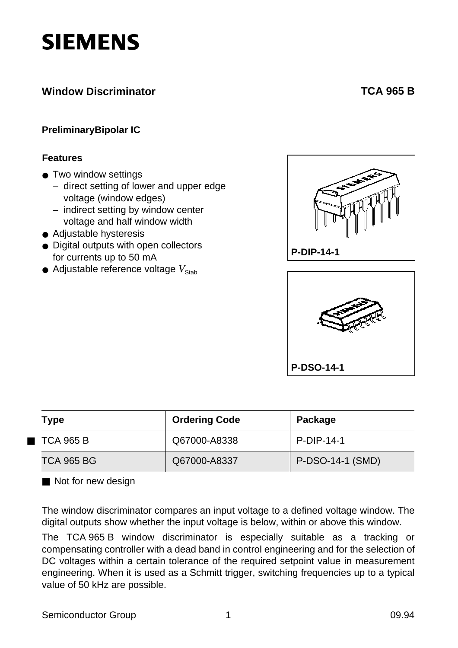# **SIEMENS**

# **Window Discriminator**

# **[TCA 965 B](#page-24-0)**

## **PreliminaryBipolar IC**

#### **Features**

- Two window settings
	- direct setting of lower and upper edge voltage (window edges)
	- indirect setting by window center voltage and half window width
- Adjustable hysteresis
- Digital outputs with open collectors for currents up to 50 mA
- $\bullet$  Adjustable reference voltage  $V_{\text{Stab}}$





|  | Type                     | <b>Ordering Code</b> | Package          |  |  |
|--|--------------------------|----------------------|------------------|--|--|
|  | $\blacksquare$ TCA 965 B | Q67000-A8338         | P-DIP-14-1       |  |  |
|  | <b>TCA 965 BG</b>        | Q67000-A8337         | P-DSO-14-1 (SMD) |  |  |

■ Not for new design

The window discriminator compares an input voltage to a defined voltage window. The digital outputs show whether the input voltage is below, within or above this window.

The TCA 965 B window discriminator is especially suitable as a tracking or compensating controller with a dead band in control engineering and for the selection of DC voltages within a certain tolerance of the required setpoint value in measurement engineering. When it is used as a Schmitt trigger, switching frequencies up to a typical value of 50 kHz are possible.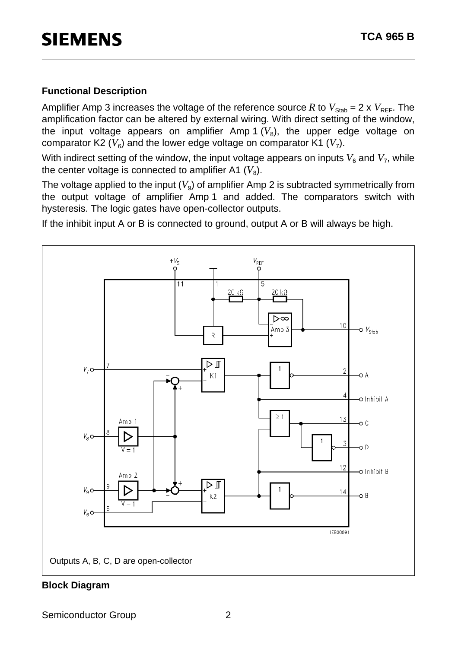## **Functional Description**

Amplifier Amp 3 increases the voltage of the reference source R to  $V_{\text{Stab}} = 2 \times V_{\text{REF}}$ . The amplification factor can be altered by external wiring. With direct setting of the window, the input voltage appears on amplifier Amp 1  $(V_8)$ , the upper edge voltage on comparator K2  $(V_6)$  and the lower edge voltage on comparator K1  $(V_7)$ .

With indirect setting of the window, the input voltage appears on inputs  $V_6$  and  $V_7$ , while the center voltage is connected to amplifier A1  $(V_8)$ .

The voltage applied to the input  $(V<sub>9</sub>)$  of amplifier Amp 2 is subtracted symmetrically from the output voltage of amplifier Amp 1 and added. The comparators switch with hysteresis. The logic gates have open-collector outputs.

If the inhibit input A or B is connected to ground, output A or B will always be high.



#### **Block Diagram**

Semiconductor Group 2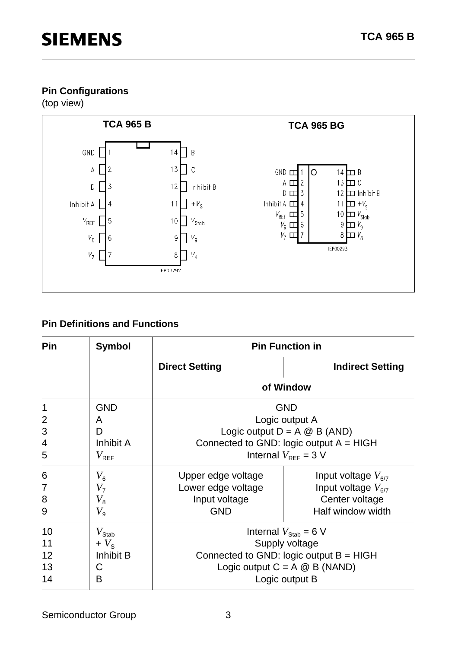# **Pin Configurations**

(top view)



# **Pin Definitions and Functions**

| <b>Pin</b>     | <b>Symbol</b>      | <b>Pin Function in</b> |                                           |  |  |  |
|----------------|--------------------|------------------------|-------------------------------------------|--|--|--|
|                |                    | <b>Direct Setting</b>  | <b>Indirect Setting</b>                   |  |  |  |
|                |                    |                        | of Window                                 |  |  |  |
| 1              | <b>GND</b>         |                        | <b>GND</b>                                |  |  |  |
| $\overline{2}$ | A                  |                        | Logic output A                            |  |  |  |
| 3              | D                  |                        | Logic output $D = A \otimes B$ (AND)      |  |  |  |
| 4              | Inhibit A          |                        | Connected to GND: logic output $A = HIGH$ |  |  |  |
| 5              | $V_{\mathsf{REF}}$ |                        | Internal $V_{\text{RFF}} = 3 \text{ V}$   |  |  |  |
| 6              | $V_6$              | Upper edge voltage     | Input voltage $V_{6/7}$                   |  |  |  |
| 7              | V <sub>7</sub>     | Lower edge voltage     | Input voltage $V_{6/7}$                   |  |  |  |
| 8              | $V_{\rm 8}$        | Input voltage          | Center voltage                            |  |  |  |
| 9              | $V_{9}$            | <b>GND</b>             | Half window width                         |  |  |  |
| 10             | $V_{\text{Stab}}$  |                        | Internal $V_{\text{Stab}} = 6 \text{ V}$  |  |  |  |
| 11             | $+V_{\rm s}$       |                        | Supply voltage                            |  |  |  |
| 12             | Inhibit B          |                        | Connected to GND: logic output $B = HIGH$ |  |  |  |
| 13             | С                  |                        | Logic output $C = A \otimes B$ (NAND)     |  |  |  |
| 14             | В                  |                        | Logic output B                            |  |  |  |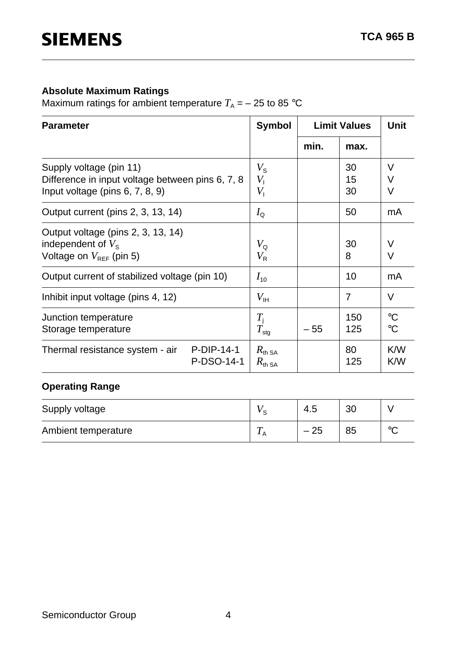## **Absolute Maximum Ratings**

Maximum ratings for ambient temperature  $T_A = -25$  to 85 °C

| <b>Parameter</b>                                                                                                  | <b>Symbol</b>                            | <b>Limit Values</b> |                | <b>Unit</b>                        |
|-------------------------------------------------------------------------------------------------------------------|------------------------------------------|---------------------|----------------|------------------------------------|
|                                                                                                                   |                                          | min.                | max.           |                                    |
| Supply voltage (pin 11)<br>Difference in input voltage between pins 6, 7, 8<br>Input voltage (pins $6, 7, 8, 9$ ) | $V_{\rm S}$<br>$V_{\perp}$<br>$V_{1}$    |                     | 30<br>15<br>30 | $\vee$<br>V<br>V                   |
| Output current (pins 2, 3, 13, 14)                                                                                | $I_{\mathsf{Q}}$                         |                     | 50             | mA                                 |
| Output voltage (pins 2, 3, 13, 14)<br>independent of $V_s$<br>Voltage on $V_{\text{RFE}}$ (pin 5)                 | $V_{\Omega}$<br>$V_{\sf R}$              |                     | 30<br>8        | $\vee$<br>$\vee$                   |
| Output current of stabilized voltage (pin 10)                                                                     | $I_{10}$                                 |                     | 10             | mA                                 |
| Inhibit input voltage (pins 4, 12)                                                                                | $V_{\sf IH}$                             |                     | $\overline{7}$ | $\vee$                             |
| Junction temperature<br>Storage temperature                                                                       | $T_{\rm i}$<br>$T_{\text{stg}}$          | $-55$               | 150<br>125     | $\rm ^{\circ}C$<br>$\rm ^{\circ}C$ |
| $P-DIP-14-1$<br>Thermal resistance system - air<br>P-DSO-14-1                                                     | $R_{\text{th SA}}$<br>$R_{\text{th SA}}$ |                     | 80<br>125      | K/W<br>K/W                         |

# **Operating Range**

| Supply voltage      |                   | 4.5   | 30 |         |
|---------------------|-------------------|-------|----|---------|
| Ambient temperature | $\mathbf{r}$<br>А | $-25$ | 85 | $\circ$ |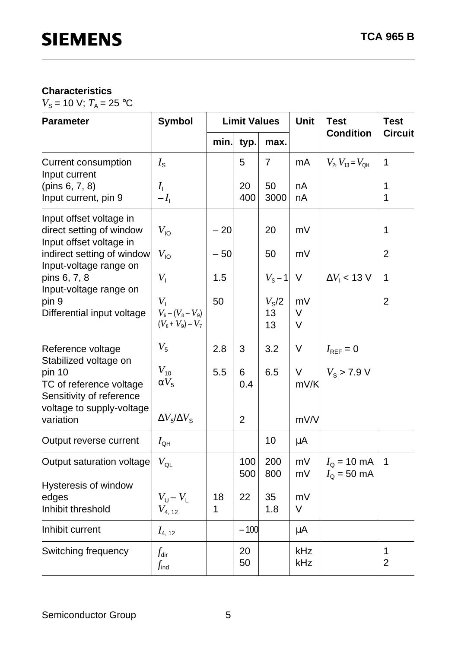# **Characteristics**

 $V_{\rm S}$  = 10 V;  $T_{\rm A}$  = 25 °C

| <b>Parameter</b>                                                               | <b>Symbol</b>                                                   | <b>Limit Values</b> |                |                            | <b>Unit</b>            | <b>Test</b>                                | <b>Test</b>         |
|--------------------------------------------------------------------------------|-----------------------------------------------------------------|---------------------|----------------|----------------------------|------------------------|--------------------------------------------|---------------------|
|                                                                                |                                                                 | min.                | typ.           | max.                       |                        | <b>Condition</b>                           | <b>Circuit</b>      |
| <b>Current consumption</b><br>Input current                                    | $I_{\rm S}$                                                     |                     | 5              | $\overline{7}$             | mA                     | $V_{2}$ , $V_{13} = V_{\text{OH}}$         | $\mathbf 1$         |
| (pins $6, 7, 8$ )<br>Input current, pin 9                                      | $I_{\rm i}$<br>$-I_{\rm L}$                                     |                     | 20<br>400      | 50<br>3000                 | nA<br>nA               |                                            | 1<br>1              |
| Input offset voltage in<br>direct setting of window<br>Input offset voltage in | $V_{\sf IO}$                                                    | $-20$               |                | 20                         | mV                     |                                            | 1                   |
| indirect setting of window                                                     | $V_{\text{IO}}$                                                 | $-50$               |                | 50                         | mV                     |                                            | $\overline{2}$      |
| Input-voltage range on<br>pins 6, 7, 8<br>Input-voltage range on               | $V_{\perp}$                                                     | 1.5                 |                | $V_{\rm S}$ – 1            | V                      | $\Delta V_1$ < 13 V                        | 1                   |
| pin 9<br>Differential input voltage                                            | $V_{\perp}$<br>$V_6 - (V_8 - V_9)$<br>$(V_{8} + V_{9}) - V_{7}$ | 50                  |                | $V_{\rm S}$ /2<br>13<br>13 | mV<br>$\vee$<br>$\vee$ |                                            | $\overline{2}$      |
| Reference voltage<br>Stabilized voltage on                                     | $V_5$                                                           | 2.8                 | 3              | 3.2                        | V                      | $I_{\text{REF}}=0$                         |                     |
| pin 10<br>TC of reference voltage<br>Sensitivity of reference                  | $V_{10}$<br>$\alpha V_5$                                        | 5.5                 | 6<br>0.4       | 6.5                        | $\vee$<br>mV/K         | $V_{\rm s}$ > 7.9 V                        |                     |
| voltage to supply-voltage<br>variation                                         | $\Delta V_5/\Delta V_{\rm S}$                                   |                     | $\overline{2}$ |                            | mV/V                   |                                            |                     |
| Output reverse current                                                         | $I_{\text{QH}}$                                                 |                     |                | 10                         | $\mu$ A                |                                            |                     |
| Output saturation voltage                                                      | $V_{\sf QL}$                                                    |                     | 100<br>500     | 200<br>800                 | mV<br>mV               | $I_{\rm Q}$ = 10 mA<br>$I_{\rm Q}$ = 50 mA | $\overline{1}$      |
| Hysteresis of window<br>edges<br>Inhibit threshold                             | $V_U - V_L$<br>$V_{4,\ 12}$                                     | 18<br>1             | 22             | 35<br>1.8                  | mV<br>V                |                                            |                     |
| Inhibit current                                                                | $I_{4, 12}$                                                     |                     | $-100$         |                            | μA                     |                                            |                     |
| Switching frequency                                                            | $f_{\sf dir}$<br>$f_{\sf ind}$                                  |                     | 20<br>50       |                            | kHz<br>kHz             |                                            | 1<br>$\overline{2}$ |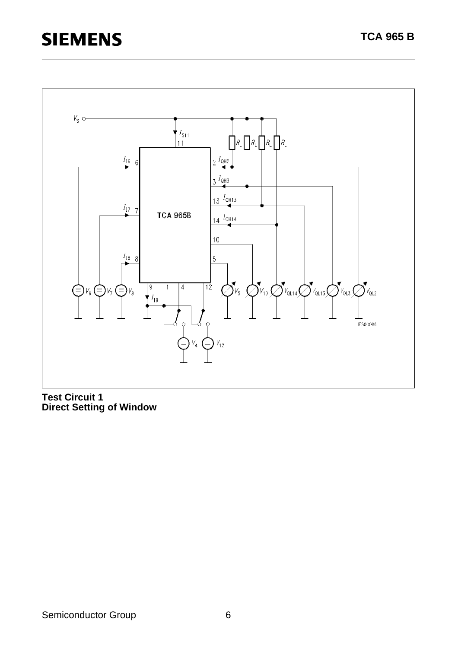

**Test Circuit 1 Direct Setting of Window**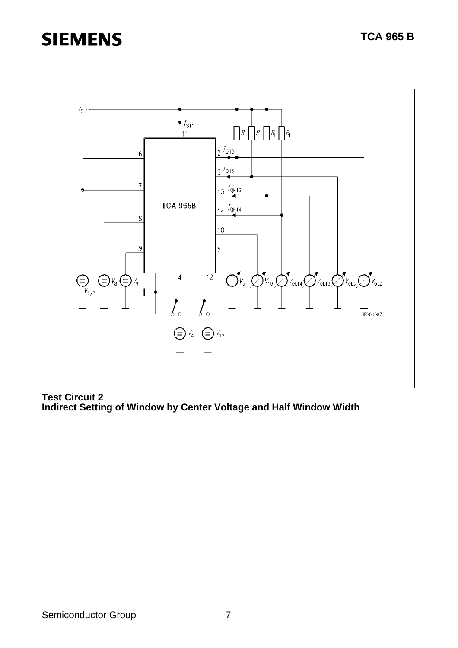

**Test Circuit 2 Indirect Setting of Window by Center Voltage and Half Window Width**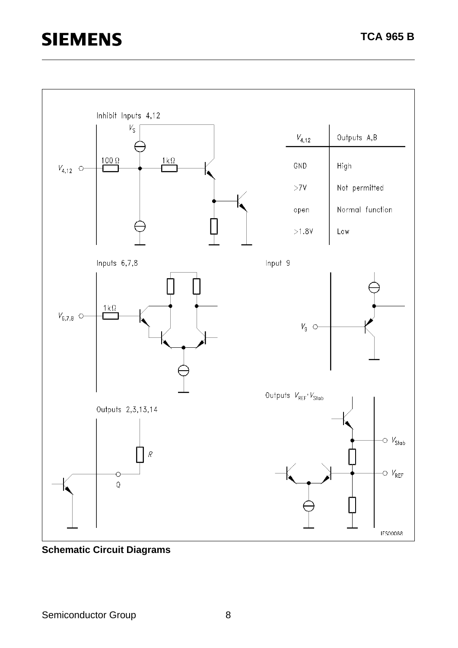

**Schematic Circuit Diagrams**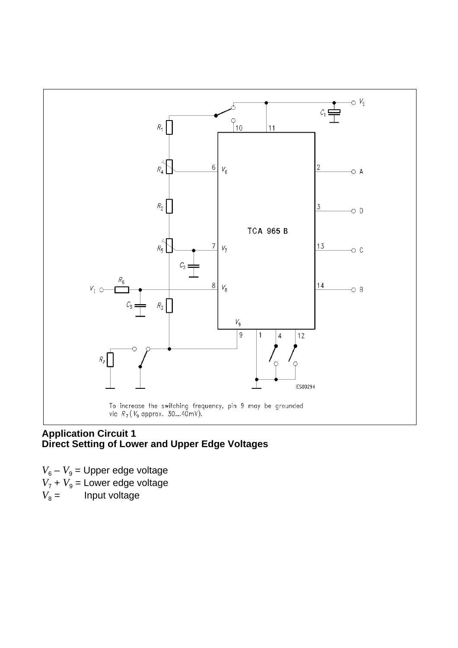

#### **Application Circuit 1 Direct Setting of Lower and Upper Edge Voltages**

 $V_6 - V_9$  = Upper edge voltage  $V_7 + V_9$  = Lower edge voltage  $V_8 =$  Input voltage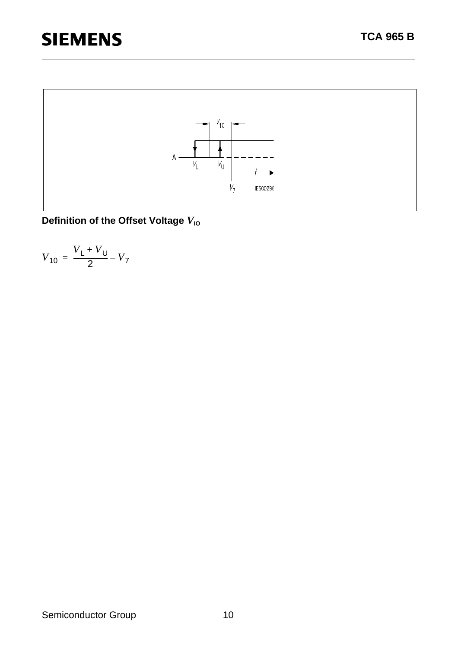

**Definition of the Offset Voltage**  $V_{10}$ 

$$
V_{10} = \frac{V_{L} + V_{U}}{2} - V_{7}
$$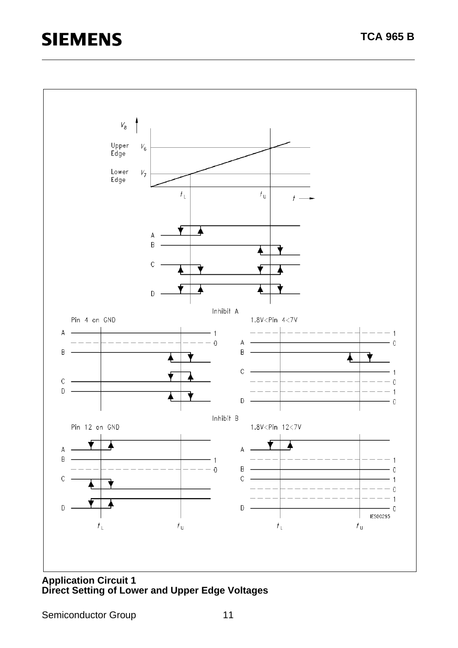

**Application Circuit 1 Direct Setting of Lower and Upper Edge Voltages**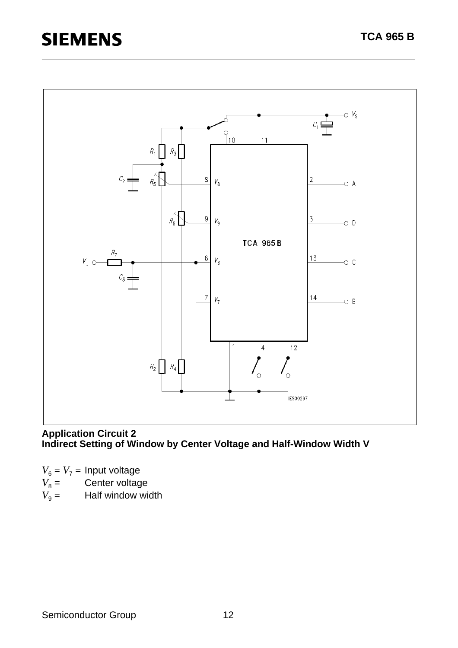# **SIEMENS**



#### **Application Circuit 2 Indirect Setting of Window by Center Voltage and Half-Window Width V**

 $V_6 = V_7 =$  Input voltage

- $V_8 =$  Center voltage
- $V_9$  = Half window width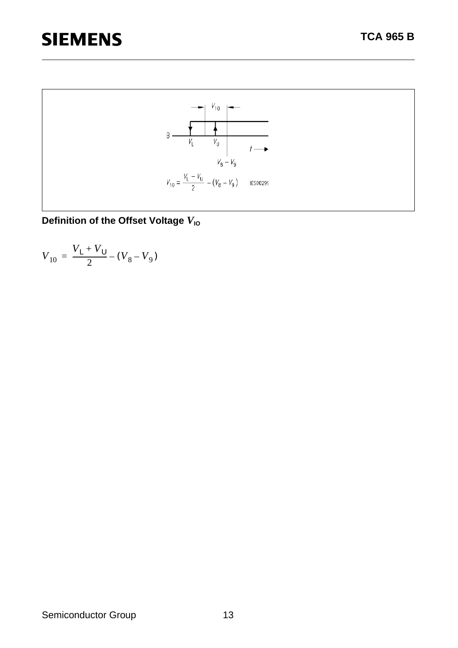

**Definition of the Offset Voltage**  $V_{10}$ 

$$
V_{10} = \frac{V_{L} + V_{U}}{2} - (V_{8} - V_{9})
$$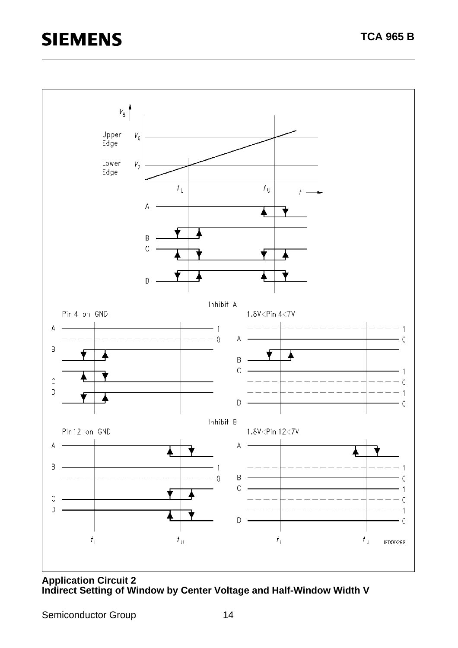

#### **Application Circuit 2 Indirect Setting of Window by Center Voltage and Half-Window Width V**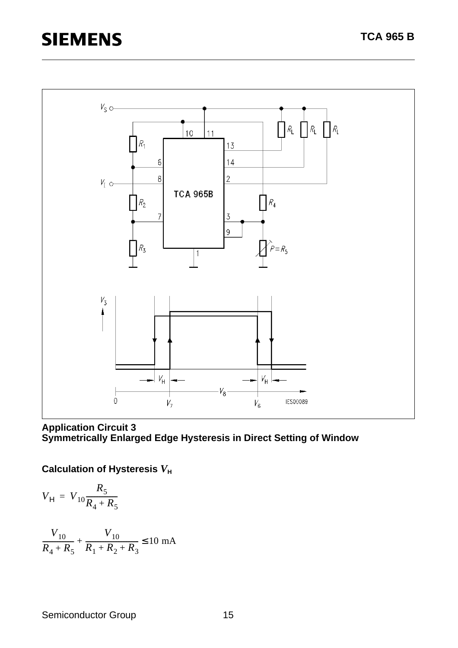

**Application Circuit 3 Symmetrically Enlarged Edge Hysteresis in Direct Setting of Window** 

**Calculation of Hysteresis**  $V_H$ 

$$
V_{\rm H} = V_{10} \frac{R_5}{R_4 + R_5}
$$

$$
\frac{V_{10}}{R_4 + R_5} + \frac{V_{10}}{R_1 + R_2 + R_3} \le 10 \text{ mA}
$$